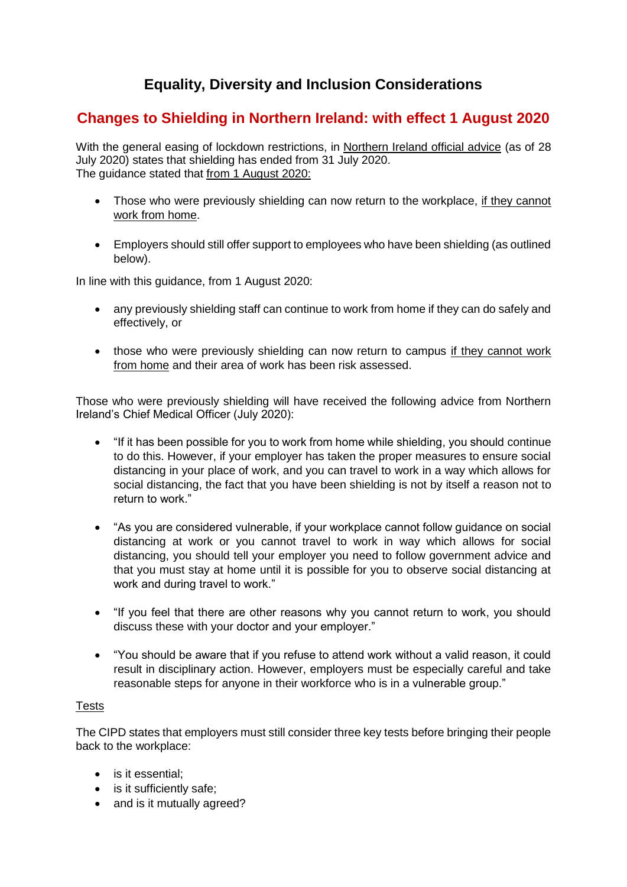# **Equality, Diversity and Inclusion Considerations**

## **Changes to Shielding in Northern Ireland: with effect 1 August 2020**

With the general easing of lockdown restrictions, in [Northern Ireland official advice](https://www.nidirect.gov.uk/articles/guidance-shielding-extremely-vulnerable-people) (as of 28 July 2020) states that shielding has ended from 31 July 2020. The guidance stated that from 1 August 2020:

- Those who were previously shielding can now return to the workplace, if they cannot work from home.
- Employers should still offer support to employees who have been shielding (as outlined below).

In line with this guidance, from 1 August 2020:

- any previously shielding staff can continue to work from home if they can do safely and effectively, or
- those who were previously shielding can now return to campus if they cannot work from home and their area of work has been risk assessed.

Those who were previously shielding will have received the following advice from Northern Ireland's Chief Medical Officer (July 2020):

- "If it has been possible for you to work from home while shielding, you should continue to do this. However, if your employer has taken the proper measures to ensure social distancing in your place of work, and you can travel to work in a way which allows for social distancing, the fact that you have been shielding is not by itself a reason not to return to work."
- "As you are considered vulnerable, if your workplace cannot follow guidance on social distancing at work or you cannot travel to work in way which allows for social distancing, you should tell your employer you need to follow government advice and that you must stay at home until it is possible for you to observe social distancing at work and during travel to work."
- "If you feel that there are other reasons why you cannot return to work, you should discuss these with your doctor and your employer."
- "You should be aware that if you refuse to attend work without a valid reason, it could result in disciplinary action. However, employers must be especially careful and take reasonable steps for anyone in their workforce who is in a vulnerable group."

## **Tests**

The CIPD states that employers must still consider three key tests before bringing their people back to the workplace:

- is it essential;
- is it sufficiently safe;
- and is it mutually agreed?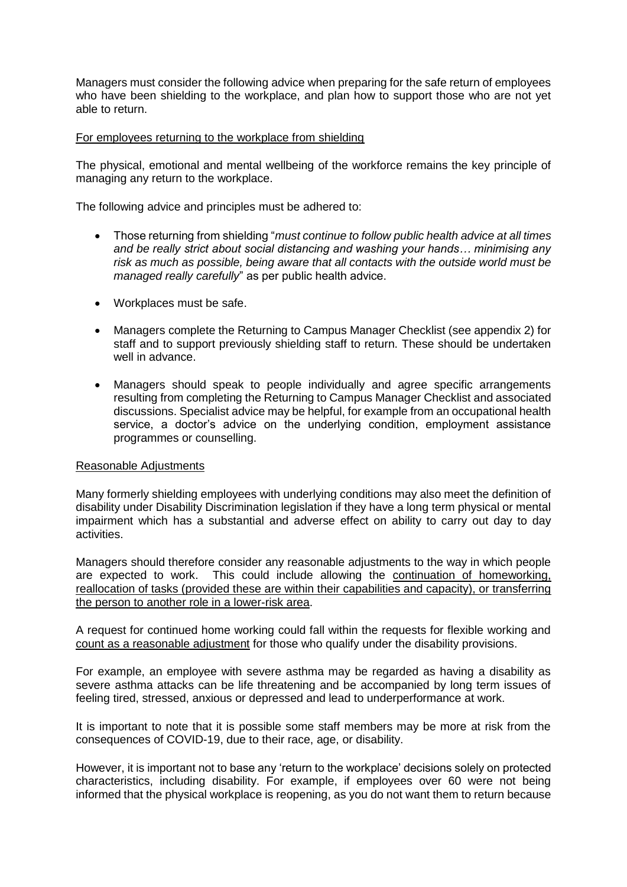Managers must consider the following advice when preparing for the safe return of employees who have been shielding to the workplace, and plan how to support those who are not yet able to return.

#### For employees returning to the workplace from shielding

The physical, emotional and mental wellbeing of the workforce remains the key principle of managing any return to the workplace.

The following advice and principles must be adhered to:

- Those returning from shielding "*must continue to follow public health advice at all times and be really strict about social distancing and washing your hands… minimising any risk as much as possible, being aware that all contacts with the outside world must be managed really carefully*" as per public health advice.
- Workplaces must be safe.
- Managers complete the Returning to Campus Manager Checklist (see appendix 2) for staff and to support previously shielding staff to return. These should be undertaken well in advance.
- Managers should speak to people individually and agree specific arrangements resulting from completing the Returning to Campus Manager Checklist and associated discussions. Specialist advice may be helpful, for example from an occupational health service, a doctor's advice on the underlying condition, employment assistance programmes or counselling.

#### Reasonable Adjustments

Many formerly shielding employees with underlying conditions may also meet the definition of disability under Disability Discrimination legislation if they have a long term physical or mental impairment which has a substantial and adverse effect on ability to carry out day to day activities.

Managers should therefore consider any reasonable adjustments to the way in which people are expected to work. This could include allowing the continuation of homeworking, reallocation of tasks (provided these are within their capabilities and capacity), or transferring the person to another role in a lower-risk area.

A request for continued home working could fall within the requests for flexible working and count as a reasonable adjustment for those who qualify under the disability provisions.

For example, an employee with severe asthma may be regarded as having a disability as severe asthma attacks can be life threatening and be accompanied by long term issues of feeling tired, stressed, anxious or depressed and lead to underperformance at work.

It is important to note that it is possible some staff members may be more at risk from the consequences of COVID-19, due to their race, age, or disability.

However, it is important not to base any 'return to the workplace' decisions solely on protected characteristics, including disability. For example, if employees over 60 were not being informed that the physical workplace is reopening, as you do not want them to return because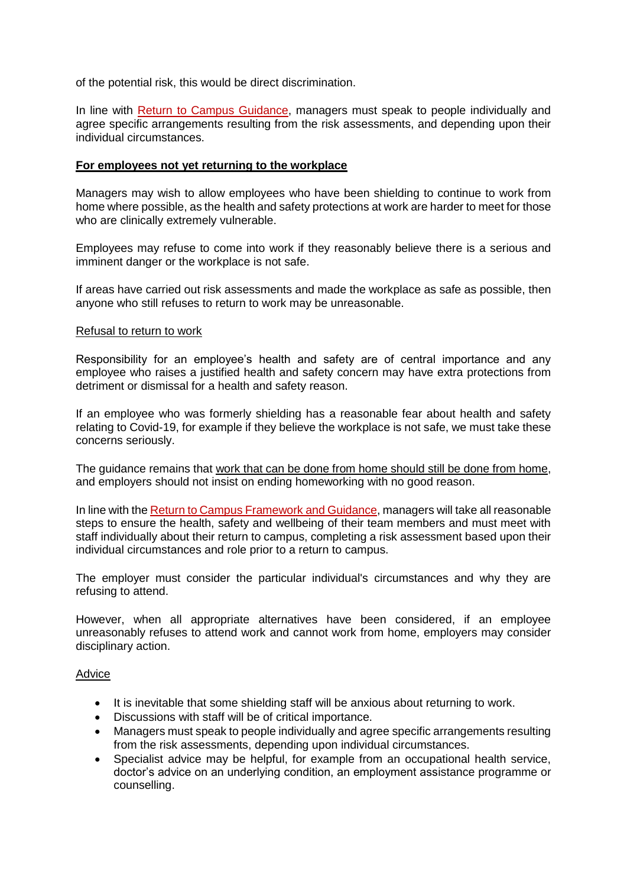of the potential risk, this would be direct discrimination.

In line with [Return to Campus Guidance,](https://www.qub.ac.uk/sites/StaffGateway/return-to-campus-framework/) managers must speak to people individually and agree specific arrangements resulting from the risk assessments, and depending upon their individual circumstances.

#### **For employees not yet returning to the workplace**

Managers may wish to allow employees who have been shielding to continue to work from home where possible, as the health and safety protections at work are harder to meet for those who are clinically extremely vulnerable.

Employees may refuse to come into work if they reasonably believe there is a serious and imminent danger or the workplace is not safe.

If areas have carried out risk assessments and made the workplace as safe as possible, then anyone who still refuses to return to work may be unreasonable.

#### Refusal to return to work

Responsibility for an employee's health and safety are of central importance and any employee who raises a justified health and safety concern may have extra protections from detriment or dismissal for a health and safety reason.

If an employee who was formerly shielding has a reasonable fear about health and safety relating to Covid-19, for example if they believe the workplace is not safe, we must take these concerns seriously.

The guidance remains that work that can be done from home should still be done from home, and employers should not insist on ending homeworking with no good reason.

In line with th[e Return to Campus Framework](https://www.qub.ac.uk/sites/StaffGateway/return-to-campus-framework/) and Guidance, managers will take all reasonable steps to ensure the health, safety and wellbeing of their team members and must meet with staff individually about their return to campus, completing a risk assessment based upon their individual circumstances and role prior to a return to campus.

The employer must consider the particular individual's circumstances and why they are refusing to attend.

However, when all appropriate alternatives have been considered, if an employee unreasonably refuses to attend work and cannot work from home, employers may consider disciplinary action.

#### Advice

- It is inevitable that some shielding staff will be anxious about returning to work.
- Discussions with staff will be of critical importance.
- Managers must speak to people individually and agree specific arrangements resulting from the risk assessments, depending upon individual circumstances.
- Specialist advice may be helpful, for example from an occupational health service, doctor's advice on an underlying condition, an employment assistance programme or counselling.